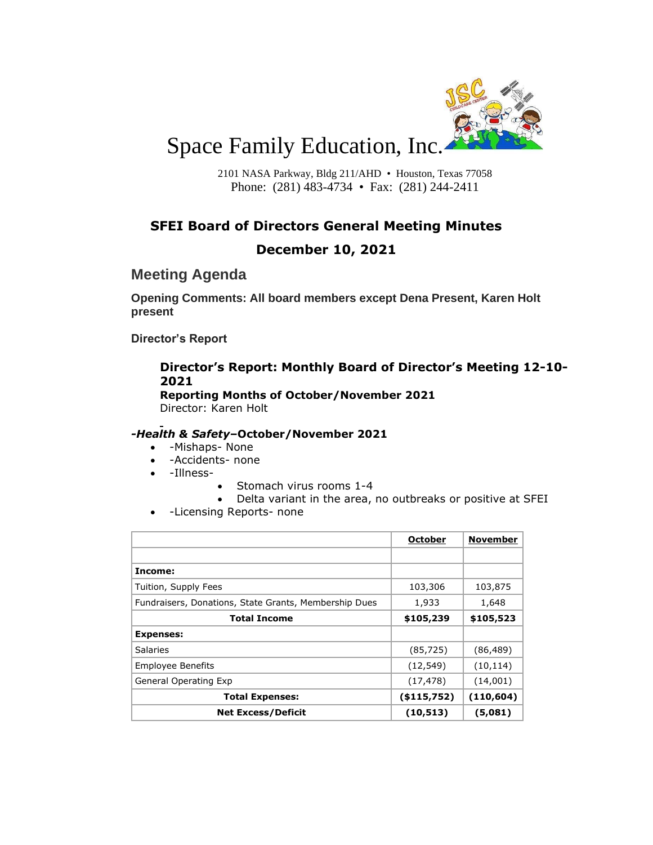

# Space Family Education, Inc.

2101 NASA Parkway, Bldg 211/AHD • Houston, Texas 77058 Phone: (281) 483-4734 • Fax: (281) 244-2411

# **SFEI Board of Directors General Meeting Minutes**

## **December 10, 2021**

# **Meeting Agenda**

**Opening Comments: All board members except Dena Present, Karen Holt present**

**Director's Report**

## **Director's Report: Monthly Board of Director's Meeting 12-10- 2021**

**Reporting Months of October/November 2021** Director: Karen Holt

#### *-Health & Safety***–October/November 2021**

- -Mishaps- None
- -Accidents- none
- -Illness-
- Stomach virus rooms 1-4
- Delta variant in the area, no outbreaks or positive at SFEI
- -Licensing Reports- none

|                                                       | <b>October</b> | <b>November</b> |
|-------------------------------------------------------|----------------|-----------------|
|                                                       |                |                 |
| Income:                                               |                |                 |
| Tuition, Supply Fees                                  | 103,306        | 103,875         |
| Fundraisers, Donations, State Grants, Membership Dues | 1,933          | 1,648           |
| <b>Total Income</b>                                   | \$105,239      | \$105,523       |
| <b>Expenses:</b>                                      |                |                 |
| <b>Salaries</b>                                       | (85, 725)      | (86, 489)       |
| <b>Employee Benefits</b>                              | (12, 549)      | (10, 114)       |
| General Operating Exp                                 | (17, 478)      | (14,001)        |
| <b>Total Expenses:</b>                                | ( \$115,752)   | (110, 604)      |
| <b>Net Excess/Deficit</b>                             | (10, 513)      | (5,081)         |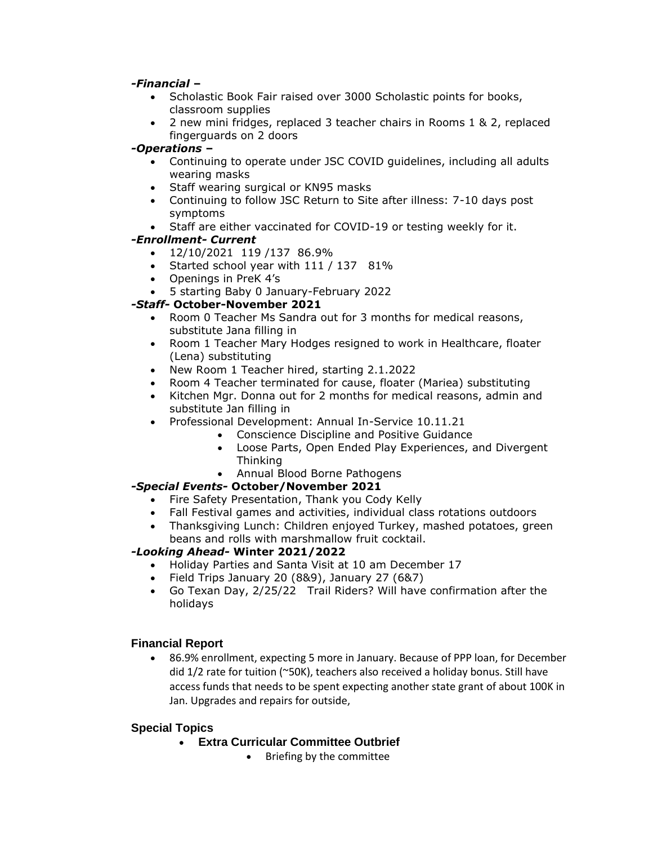*-Financial* **–**

- Scholastic Book Fair raised over 3000 Scholastic points for books, classroom supplies
- 2 new mini fridges, replaced 3 teacher chairs in Rooms 1 & 2, replaced fingerguards on 2 doors

#### *-Operations* **–**

- Continuing to operate under JSC COVID guidelines, including all adults wearing masks
- Staff wearing surgical or KN95 masks
- Continuing to follow JSC Return to Site after illness: 7-10 days post symptoms
- Staff are either vaccinated for COVID-19 or testing weekly for it.

### *-Enrollment- Current*

- 12/10/2021 119 /137 86.9%
- Started school year with 111 / 137 81%
- Openings in PreK 4's
- 5 starting Baby 0 January-February 2022

### *-Staff-* **October-November 2021**

- Room 0 Teacher Ms Sandra out for 3 months for medical reasons, substitute Jana filling in
- Room 1 Teacher Mary Hodges resigned to work in Healthcare, floater (Lena) substituting
- New Room 1 Teacher hired, starting 2.1.2022
- Room 4 Teacher terminated for cause, floater (Mariea) substituting
- Kitchen Mgr. Donna out for 2 months for medical reasons, admin and substitute Jan filling in
- Professional Development: Annual In-Service 10.11.21
	- Conscience Discipline and Positive Guidance
		- Loose Parts, Open Ended Play Experiences, and Divergent Thinking
		- Annual Blood Borne Pathogens

#### *-Special Events-* **October/November 2021**

- Fire Safety Presentation, Thank you Cody Kelly
- Fall Festival games and activities, individual class rotations outdoors
- Thanksgiving Lunch: Children enjoyed Turkey, mashed potatoes, green beans and rolls with marshmallow fruit cocktail.

#### *-Looking Ahead-* **Winter 2021/2022**

- Holiday Parties and Santa Visit at 10 am December 17
- Field Trips January 20 (8&9), January 27 (6&7)
- Go Texan Day, 2/25/22 Trail Riders? Will have confirmation after the holidays

#### **Financial Report**

• 86.9% enrollment, expecting 5 more in January. Because of PPP loan, for December did 1/2 rate for tuition (~50K), teachers also received a holiday bonus. Still have access funds that needs to be spent expecting another state grant of about 100K in Jan. Upgrades and repairs for outside,

#### **Special Topics**

- **Extra Curricular Committee Outbrief**
	- Briefing by the committee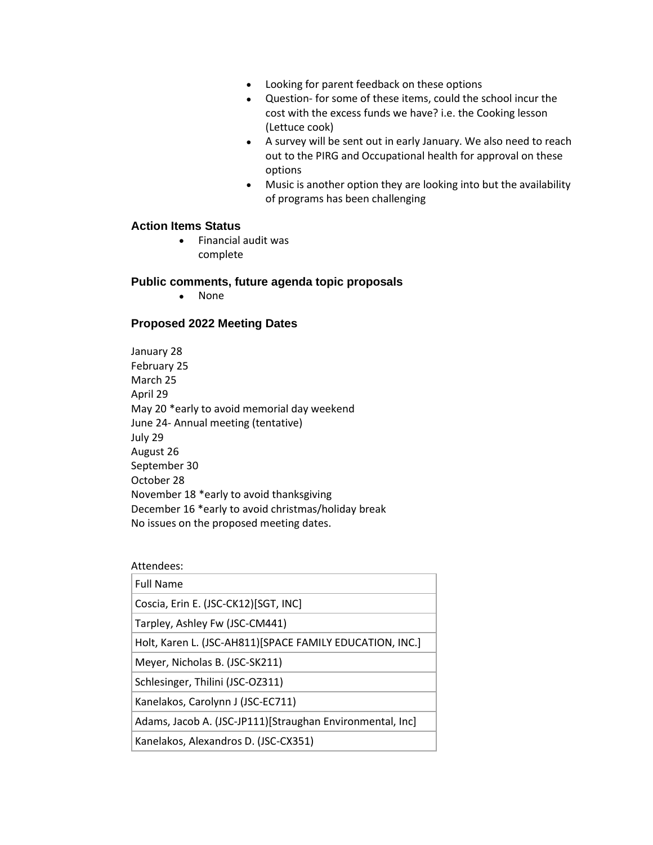- Looking for parent feedback on these options
- Question- for some of these items, could the school incur the cost with the excess funds we have? i.e. the Cooking lesson (Lettuce cook)
- A survey will be sent out in early January. We also need to reach out to the PIRG and Occupational health for approval on these options
- Music is another option they are looking into but the availability of programs has been challenging

#### **Action Items Status**

• Financial audit was complete

#### **Public comments, future agenda topic proposals**

• None

#### **Proposed 2022 Meeting Dates**

January 28 February 25 March 25 April 29 May 20 \*early to avoid memorial day weekend June 24- Annual meeting (tentative) July 29 August 26 September 30 October 28 November 18 \*early to avoid thanksgiving December 16 \*early to avoid christmas/holiday break No issues on the proposed meeting dates.

| Attendees:                                                |
|-----------------------------------------------------------|
| <b>Full Name</b>                                          |
| Coscia, Erin E. (JSC-CK12)[SGT, INC]                      |
| Tarpley, Ashley Fw (JSC-CM441)                            |
| Holt, Karen L. (JSC-AH811) [SPACE FAMILY EDUCATION, INC.] |
| Meyer, Nicholas B. (JSC-SK211)                            |
| Schlesinger, Thilini (JSC-OZ311)                          |
| Kanelakos, Carolynn J (JSC-EC711)                         |
| Adams, Jacob A. (JSC-JP111)[Straughan Environmental, Inc] |
| Kanelakos, Alexandros D. (JSC-CX351)                      |